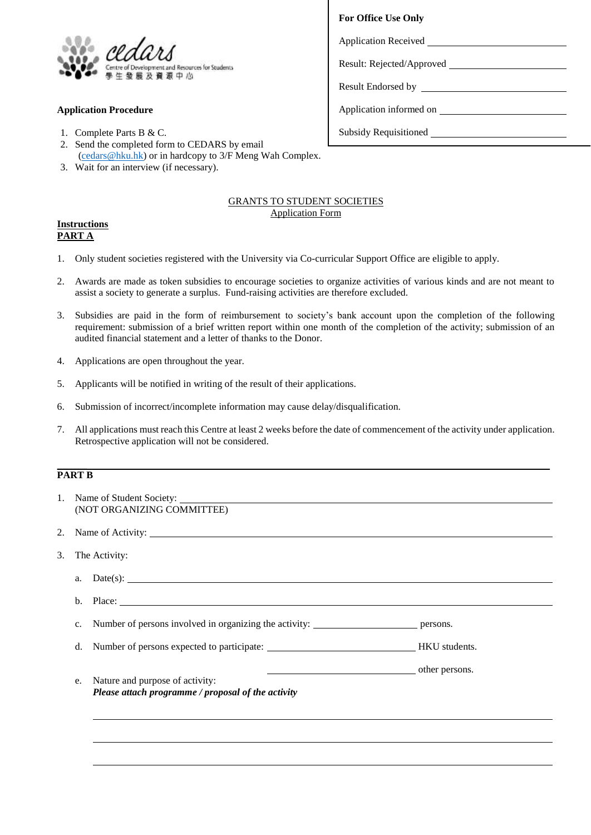

## **Application Procedure**

- 1. Complete Parts B & C.
- 2. Send the completed form to CEDARS by email [\(cedars@hku.hk\)](mailto:cedars@hku.hk) or in hardcopy to 3/F Meng Wah Complex.
- 3. Wait for an interview (if necessary).

## GRANTS TO STUDENT SOCIETIES Application Form

## **Instructions PART A**

- 1. Only student societies registered with the University via Co-curricular Support Office are eligible to apply.
- 2. Awards are made as token subsidies to encourage societies to organize activities of various kinds and are not meant to assist a society to generate a surplus. Fund-raising activities are therefore excluded.
- 3. Subsidies are paid in the form of reimbursement to society's bank account upon the completion of the following requirement: submission of a brief written report within one month of the completion of the activity; submission of an audited financial statement and a letter of thanks to the Donor.
- 4. Applications are open throughout the year.
- 5. Applicants will be notified in writing of the result of their applications.
- 6. Submission of incorrect/incomplete information may cause delay/disqualification.
- 7. All applications must reach this Centre at least 2 weeks before the date of commencement of the activity under application. Retrospective application will not be considered.

## **PART B**

- 1. Name of Student Society: (NOT ORGANIZING COMMITTEE)
- 2. Name of Activity:
- 3. The Activity:

| a.          |                                                                                       |                |
|-------------|---------------------------------------------------------------------------------------|----------------|
| $h_{\cdot}$ |                                                                                       |                |
| $c_{\cdot}$ | Number of persons involved in organizing the activity:                                | persons.       |
| d.          |                                                                                       | HKU students.  |
| e.          | Nature and purpose of activity:<br>Please attach programme / proposal of the activity | other persons. |

| <b>For Office Use Only</b> |  |  |  |  |
|----------------------------|--|--|--|--|
|                            |  |  |  |  |
| Result: Rejected/Approved  |  |  |  |  |
|                            |  |  |  |  |
| Application informed on    |  |  |  |  |
|                            |  |  |  |  |